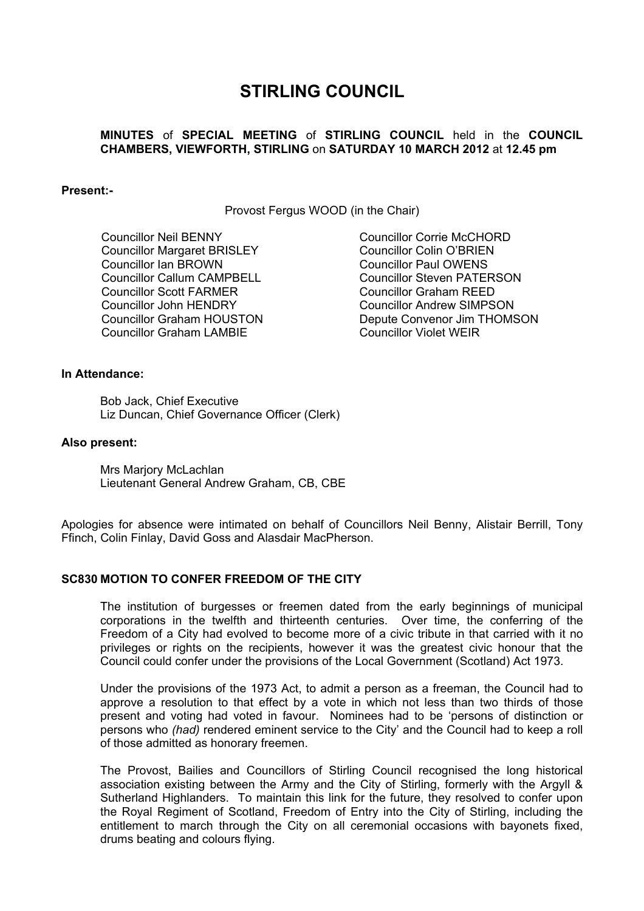# **STIRLING COUNCIL**

## **MINUTES** of **SPECIAL MEETING** of **STIRLING COUNCIL** held in the **COUNCIL CHAMBERS, VIEWFORTH, STIRLING** on **SATURDAY 10 MARCH 2012** at **12.45 pm**

### **Present:-**

Provost Fergus WOOD (in the Chair)

 Councillor Neil BENNY Councillor Margaret BRISLEY Councillor Ian BROWN Councillor Callum CAMPBELL Councillor Scott FARMER Councillor John HENDRY Councillor Graham HOUSTON Councillor Graham LAMBIE

Councillor Corrie McCHORD Councillor Colin O'BRIEN Councillor Paul OWENS Councillor Steven PATERSON Councillor Graham REED Councillor Andrew SIMPSON Depute Convenor Jim THOMSON Councillor Violet WEIR

## **In Attendance:**

Bob Jack, Chief Executive Liz Duncan, Chief Governance Officer (Clerk)

#### **Also present:**

Mrs Marjory McLachlan Lieutenant General Andrew Graham, CB, CBE

Apologies for absence were intimated on behalf of Councillors Neil Benny, Alistair Berrill, Tony Ffinch, Colin Finlay, David Goss and Alasdair MacPherson.

## **SC830 MOTION TO CONFER FREEDOM OF THE CITY**

The institution of burgesses or freemen dated from the early beginnings of municipal corporations in the twelfth and thirteenth centuries. Over time, the conferring of the Freedom of a City had evolved to become more of a civic tribute in that carried with it no privileges or rights on the recipients, however it was the greatest civic honour that the Council could confer under the provisions of the Local Government (Scotland) Act 1973.

Under the provisions of the 1973 Act, to admit a person as a freeman, the Council had to approve a resolution to that effect by a vote in which not less than two thirds of those present and voting had voted in favour. Nominees had to be 'persons of distinction or persons who *(had)* rendered eminent service to the City' and the Council had to keep a roll of those admitted as honorary freemen.

The Provost, Bailies and Councillors of Stirling Council recognised the long historical association existing between the Army and the City of Stirling, formerly with the Argyll & Sutherland Highlanders. To maintain this link for the future, they resolved to confer upon the Royal Regiment of Scotland, Freedom of Entry into the City of Stirling, including the entitlement to march through the City on all ceremonial occasions with bayonets fixed, drums beating and colours flying.